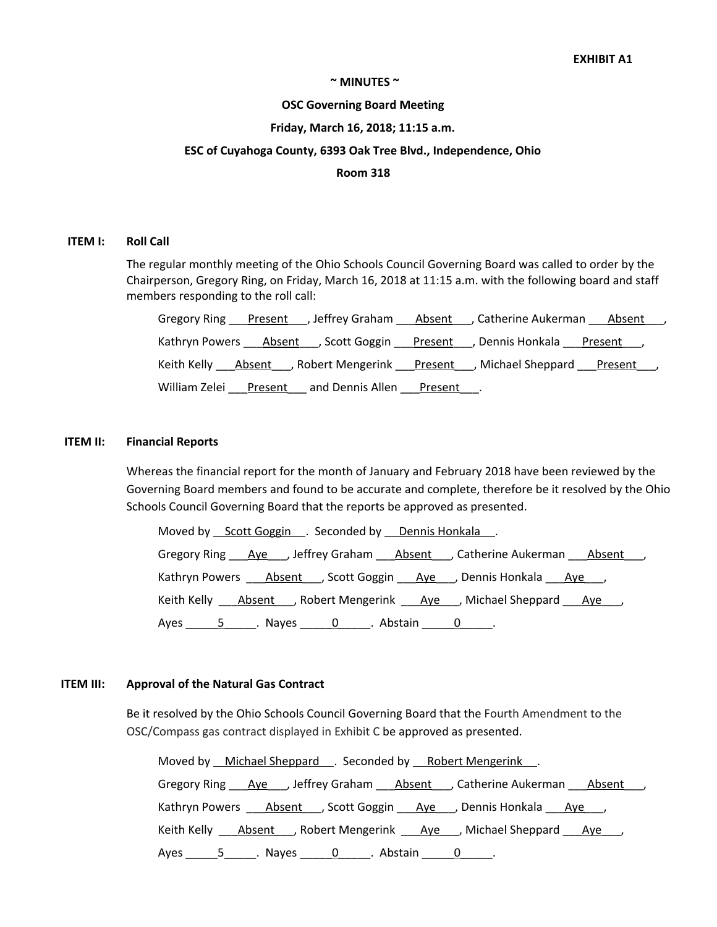### **~ MINUTES ~**

#### **OSC Governing Board Meeting**

### **Friday, March 16, 2018; 11:15 a.m.**

### **ESC of Cuyahoga County, 6393 Oak Tree Blvd., Independence, Ohio**

### **Room 318**

#### **ITEM I: Roll Call**

The regular monthly meeting of the Ohio Schools Council Governing Board was called to order by the Chairperson, Gregory Ring, on Friday, March 16, 2018 at 11:15 a.m. with the following board and staff members responding to the roll call:

|                                                                                              | Gregory Ring Present Juleffrey Graham Absent JCatherine Aukerman Absent J         |
|----------------------------------------------------------------------------------------------|-----------------------------------------------------------------------------------|
| Kathryn Powers ___ Absent ___, Scott Goggin ___ Present ___, Dennis Honkala ___ Present ___, |                                                                                   |
|                                                                                              | Keith Kelly <u>Absent</u> , Robert Mengerink Present , Michael Sheppard Present , |
| William Zelei Present and Dennis Allen Present                                               |                                                                                   |

#### **ITEM II: Financial Reports**

Whereas the financial report for the month of January and February 2018 have been reviewed by the Governing Board members and found to be accurate and complete, therefore be it resolved by the Ohio Schools Council Governing Board that the reports be approved as presented.

Moved by Scott Goggin ... Seconded by Dennis Honkala ... Gregory Ring Aye , Jeffrey Graham Absent , Catherine Aukerman Absent, Kathryn Powers \_\_\_\_Absent\_\_\_, Scott Goggin \_\_\_\_Aye\_\_\_, Dennis Honkala \_\_\_\_Aye\_\_\_, Keith Kelly \_\_\_\_<u>Absent</u> \_\_, Robert Mengerink \_\_\_\_\_<u>Aye</u> \_\_\_, Michael Sheppard \_\_\_\_<u>Aye</u> \_\_\_, Ayes \_\_\_\_\_\_\_5 \_\_\_\_\_\_. Nayes \_\_\_\_\_\_\_0 \_\_\_\_\_\_. Abstain \_\_\_\_\_\_0 \_\_\_\_\_\_.

### **ITEM III: Approval of the Natural Gas Contract**

Be it resolved by the Ohio Schools Council Governing Board that the Fourth Amendment to the OSC/Compass gas contract displayed in Exhibit C be approved as presented.

| Moved by Michael Sheppard . Seconded by Robert Mengerink.                                              |
|--------------------------------------------------------------------------------------------------------|
| Gregory Ring Aye Jeffrey Graham Absent , Catherine Aukerman Absent J                                   |
| Kathryn Powers <u>Absent</u> __, Scott Goggin ____ <u>Aye</u> ___, Dennis Honkala ____ <u>Aye</u> ___, |
| Keith Kelly <u>Absent</u> , Robert Mengerink <u>Aye</u> , Michael Sheppard <u>Aye</u> ,                |
| Ayes ______5 ______. Nayes ______ 0 ______. Abstain ______ 0 ______.                                   |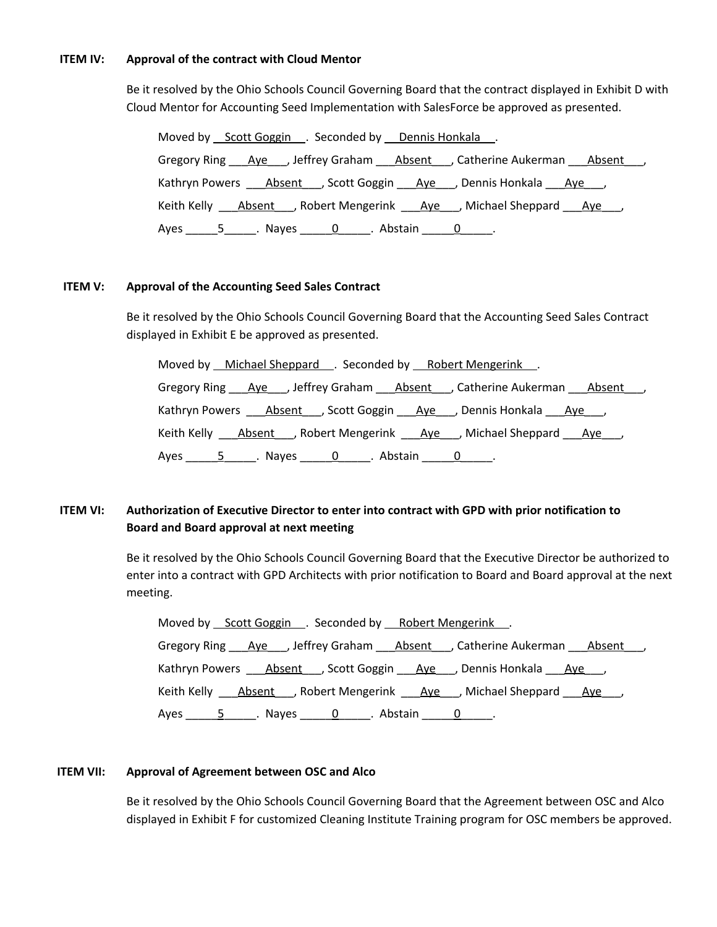### **ITEM IV: Approval of the contract with Cloud Mentor**

Be it resolved by the Ohio Schools Council Governing Board that the contract displayed in Exhibit D with Cloud Mentor for Accounting Seed Implementation with SalesForce be approved as presented.

| Moved by Scott Goggin Free Seconded by Dennis Honkala Free Scott Goggin Free Seconded by Dennis Honkala |
|---------------------------------------------------------------------------------------------------------|
| Gregory Ring Ave Jeffrey Graham Absent , Catherine Aukerman Absent ,                                    |
| Kathryn Powers Absent , Scott Goggin Aye , Dennis Honkala Aye ,                                         |
| Keith Kelly <b>Absent</b> , Robert Mengerink <u>Aye</u> , Michael Sheppard Rye ,                        |
| Ayes _______5 _______. Nayes _______0 _______. Abstain _______0 ______.                                 |

## **ITEM V: Approval of the Accounting Seed Sales Contract**

Be it resolved by the Ohio Schools Council Governing Board that the Accounting Seed Sales Contract displayed in Exhibit E be approved as presented.

| Moved by Michael Sheppard . Seconded by Robert Mengerink.              |
|------------------------------------------------------------------------|
| Gregory Ring Aye , Jeffrey Graham Absent , Catherine Aukerman Absent , |
| Kathryn Powers Absent , Scott Goggin Aye , Dennis Honkala Aye ,        |
| Keith Kelly Absent , Robert Mengerink Aye , Michael Sheppard Aye,      |
|                                                                        |

# **ITEM VI: Authorization of Executive Director to enter into contract with GPD with prior notification to Board and Board approval at next meeting**

Be it resolved by the Ohio Schools Council Governing Board that the Executive Director be authorized to enter into a contract with GPD Architects with prior notification to Board and Board approval at the next meeting.

| Moved by Scott Goggin Fig. Seconded by Robert Mengerink Fig.                |
|-----------------------------------------------------------------------------|
| Gregory Ring Aye, Jeffrey Graham Absent, Catherine Aukerman Absent,         |
| Kathryn Powers Absent , Scott Goggin Aye , Dennis Honkala Aye ,             |
| Keith Kelly Absent , Robert Mengerink Aye , Michael Sheppard Aye ,          |
| Ayes ________5 _______. Nayes ________0 _______. Abstain ________0 _______. |

# **ITEM VII: Approval of Agreement between OSC and Alco**

Be it resolved by the Ohio Schools Council Governing Board that the Agreement between OSC and Alco displayed in Exhibit F for customized Cleaning Institute Training program for OSC members be approved.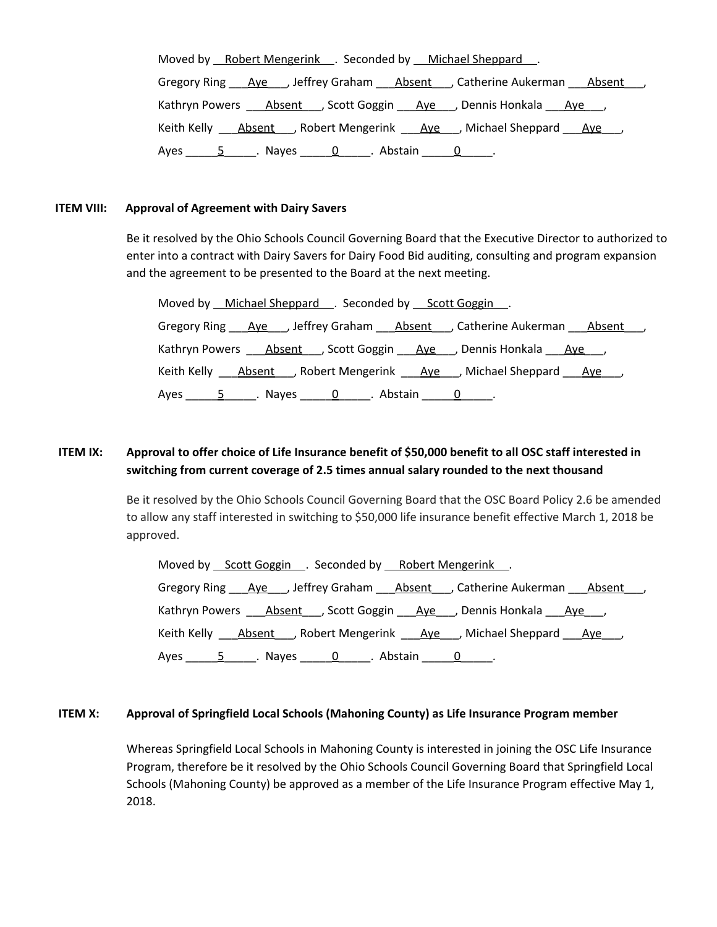| Moved by Robert Mengerink . Seconded by Michael Sheppard .               |
|--------------------------------------------------------------------------|
| Gregory Ring Aye , Jeffrey Graham Absent , Catherine Aukerman Absent     |
| Kathryn Powers <u>Absent</u> J, Scott Goggin Aye J, Dennis Honkala Aye J |
| Keith Kelly Absent , Robert Mengerink Aye , Michael Sheppard Aye ,       |
| Ayes $5 \qquad 5 \qquad$ Nayes 0. Abstain 0. Q                           |

# **ITEM VIII: Approval of Agreement with Dairy Savers**

Be it resolved by the Ohio Schools Council Governing Board that the Executive Director to authorized to enter into a contract with Dairy Savers for Dairy Food Bid auditing, consulting and program expansion and the agreement to be presented to the Board at the next meeting.

| Moved by Michael Sheppard Seconded by Scott Goggin.                                                                  |
|----------------------------------------------------------------------------------------------------------------------|
| Gregory Ring <u>Aye</u> Jeffrey Graham Absent , Catherine Aukerman Absent ,                                          |
| Kathryn Powers ____ Absent ___ , Scott Goggin ____ Aye ___ , Dennis Honkala ____ Aye ___ ,                           |
| Keith Kelly ____ <u>Absent</u> ____, Robert Mengerink _____ <u>Aye___</u> _, Michael Sheppard _____ <u>Aye____</u> , |
| Ayes _______5_______. Nayes ________0_______. Abstain ________0_______.                                              |

# ITEM IX: Approval to offer choice of Life Insurance benefit of \$50,000 benefit to all OSC staff interested in **switching from current coverage of 2.5 times annual salary rounded to the next thousand**

Be it resolved by the Ohio Schools Council Governing Board that the OSC Board Policy 2.6 be amended to allow any staff interested in switching to \$50,000 life insurance benefit effective March 1, 2018 be approved.

| Moved by Scott Goggin __. Seconded by ___ Robert Mengerink ___.                         |
|-----------------------------------------------------------------------------------------|
| Gregory Ring Aye Jeffrey Graham Absent J. Catherine Aukerman Absent J                   |
| Kathryn Powers ____ Absent ___, Scott Goggin ____ Aye ___, Dennis Honkala ____ Aye ___, |
| Keith Kelly Absent , Robert Mengerink Aye , Michael Sheppard Aye,                       |
|                                                                                         |

## **ITEM X: Approval of Springfield Local Schools (Mahoning County) as Life Insurance Program member**

Whereas Springfield Local Schools in Mahoning County is interested in joining the OSC Life Insurance Program, therefore be it resolved by the Ohio Schools Council Governing Board that Springfield Local Schools (Mahoning County) be approved as a member of the Life Insurance Program effective May 1, 2018.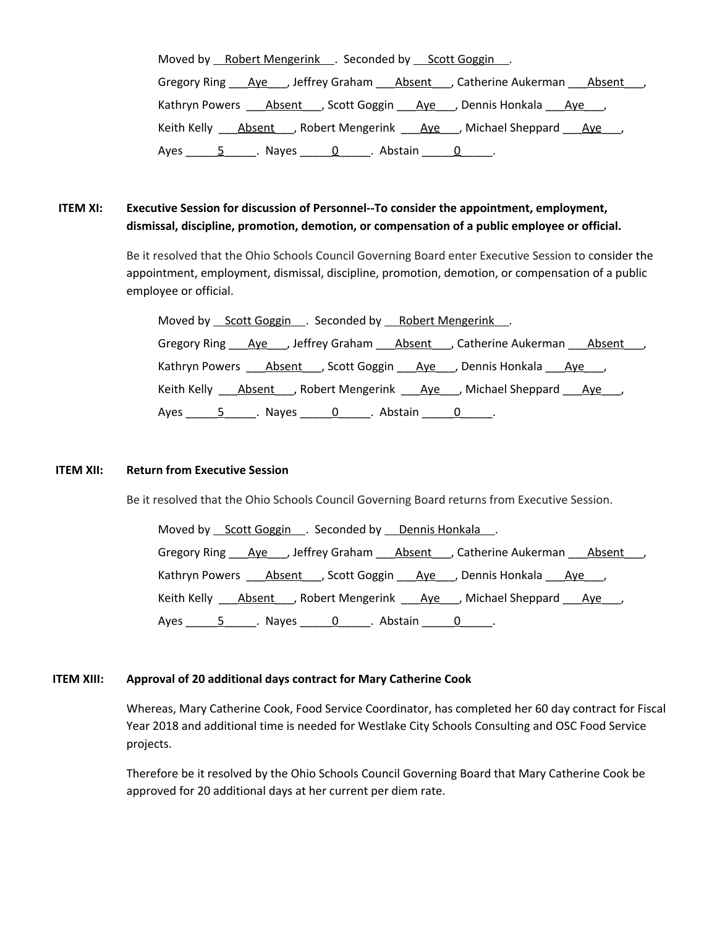| Moved by Robert Mengerink . Seconded by Scott Goggin.                              |
|------------------------------------------------------------------------------------|
| Gregory Ring Aye , Jeffrey Graham Absent , Catherine Aukerman Absent               |
| Kathryn Powers <u>Absent</u> J, Scott Goggin Aye J, Dennis Honkala Aye J           |
| Keith Kelly Absent , Robert Mengerink Aye , Michael Sheppard Aye ,                 |
| Ayes $5 \qquad 5 \qquad$ Nayes 0. $\qquad 0 \qquad$ Abstain 0. $\qquad 0 \qquad$ . |

# **ITEM XI: Executive Session for discussion of Personnel--To consider the appointment, employment, dismissal, discipline, promotion, demotion, or compensation of a public employee or official.**

Be it resolved that the Ohio Schools Council Governing Board enter Executive Session to consider the appointment, employment, dismissal, discipline, promotion, demotion, or compensation of a public employee or official.

Moved by Scott Goggin . Seconded by Robert Mengerink Gregory Ring \_\_\_Aye\_\_\_, Jeffrey Graham \_\_\_Absent\_\_\_, Catherine Aukerman \_\_\_Absent\_\_\_, Kathryn Powers \_\_\_\_<u>Absent</u> \_\_, Scott Goggin \_\_\_\_<u>Aye\_\_\_</u>, Dennis Honkala \_\_\_\_<u>Aye\_\_</u>, Keith Kelly **Absent**, Robert Mengerink Aye, Michael Sheppard Aye, Ayes  $\frac{5}{2}$  Nayes  $\frac{0}{2}$  Abstain  $\frac{0}{2}$ .

## **ITEM XII: Return from Executive Session**

Be it resolved that the Ohio Schools Council Governing Board returns from Executive Session.

Moved by Scott Goggin . Seconded by Dennis Honkala . Gregory Ring Aye , Jeffrey Graham Absent , Catherine Aukerman Absent, Kathryn Powers \_\_\_\_<u>Absent</u> \_\_, Scott Goggin \_\_\_\_<u>Aye\_\_\_</u>, Dennis Honkala \_\_\_\_<u>Aye</u>\_\_\_, Keith Kelly \_\_\_\_Absent\_\_\_\_, Robert Mengerink \_\_\_\_Aye\_\_\_, Michael Sheppard \_\_\_\_Aye\_\_\_, Ayes \_\_\_\_\_\_\_5\_\_\_\_\_\_. Nayes \_\_\_\_\_\_\_0\_\_\_\_\_\_. Abstain \_\_\_\_\_\_0\_\_\_\_\_\_.

### **ITEM XIII: Approval of 20 additional days contract for Mary Catherine Cook**

Whereas, Mary Catherine Cook, Food Service Coordinator, has completed her 60 day contract for Fiscal Year 2018 and additional time is needed for Westlake City Schools Consulting and OSC Food Service projects.

Therefore be it resolved by the Ohio Schools Council Governing Board that Mary Catherine Cook be approved for 20 additional days at her current per diem rate.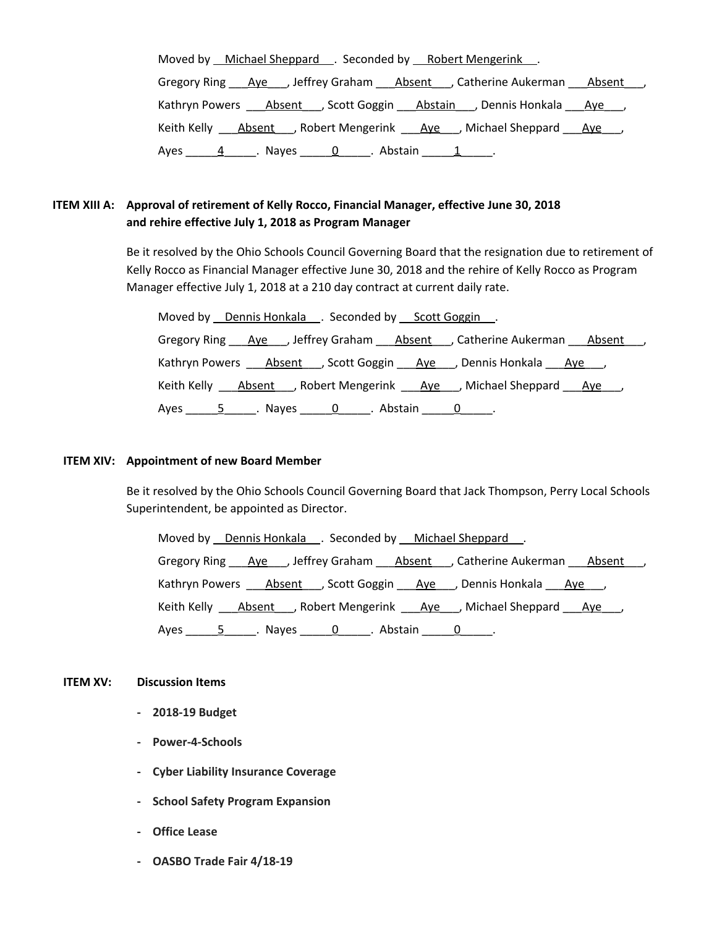| Moved by Michael Sheppard C. Seconded by Robert Mengerink .                                                    |
|----------------------------------------------------------------------------------------------------------------|
| Gregory Ring Aye , Jeffrey Graham Absent , Catherine Aukerman Absent                                           |
| Kathryn Powers <u>Absent</u> , Scott Goggin Abstain , Dennis Honkala Ave                                       |
| Keith Kelly Absent , Robert Mengerink Aye , Michael Sheppard Aye ,                                             |
| Ayes 11, Ayes 1, Abstain 1, Ayes 2, Abstain 2, Ayes 2, Ayes 2, Ayes 2, Ayes 2, Ayes 2, Ayes 2, Ayes 2, Ayes 2, |

# **ITEM XIII A: Approval of retirement of Kelly Rocco, Financial Manager, effective June 30, 2018 and rehire effective July 1, 2018 as Program Manager**

Be it resolved by the Ohio Schools Council Governing Board that the resignation due to retirement of Kelly Rocco as Financial Manager effective June 30, 2018 and the rehire of Kelly Rocco as Program Manager effective July 1, 2018 at a 210 day contract at current daily rate.

Moved by Dennis Honkala . Seconded by Scott Goggin . Gregory Ring \_\_\_\_Aye\_\_\_, Jeffrey Graham \_\_\_\_\_Absent \_\_\_, Catherine Aukerman \_\_\_\_Absent \_\_\_, Kathryn Powers \_\_\_\_Absent\_\_\_, Scott Goggin \_\_\_\_Aye\_\_\_, Dennis Honkala \_\_\_\_Aye\_\_\_, Keith Kelly **Absent** , Robert Mengerink **\_\_\_\_Aye\_\_\_\_,** Michael Sheppard \_\_\_\_<u>Aye</u>\_\_\_\_, Ayes \_\_\_\_\_\_\_5 \_\_\_\_\_\_. Nayes \_\_\_\_\_\_\_0 \_\_\_\_\_\_. Abstain \_\_\_\_\_\_0 \_\_\_\_\_\_.

### **ITEM XIV: Appointment of new Board Member**

Be it resolved by the Ohio Schools Council Governing Board that Jack Thompson, Perry Local Schools Superintendent, be appointed as Director.

Moved by Dennis Honkala . Seconded by Michael Sheppard . Gregory Ring Aye , Jeffrey Graham Absent , Catherine Aukerman Absent, Kathryn Powers \_\_\_\_\_Absent \_\_\_\_, Scott Goggin \_\_\_\_\_Aye\_\_\_\_, Dennis Honkala \_\_\_\_Aye\_\_\_\_, Keith Kelly \_\_\_\_<u>Absent</u> \_\_, Robert Mengerink \_\_\_\_\_<u>Aye</u> \_\_\_, Michael Sheppard \_\_\_\_<u>Aye</u> \_\_\_, Ayes \_\_\_\_\_5\_\_\_\_\_. Nayes \_\_\_\_\_0\_\_\_\_\_. Abstain \_\_\_\_\_0\_\_\_\_\_.

## **ITEM XV: Discussion Items**

- **- 2018-19 Budget**
- **- Power-4-Schools**
- **- Cyber Liability Insurance Coverage**
- **- School Safety Program Expansion**
- **- Office Lease**
- **- OASBO Trade Fair 4/18-19**